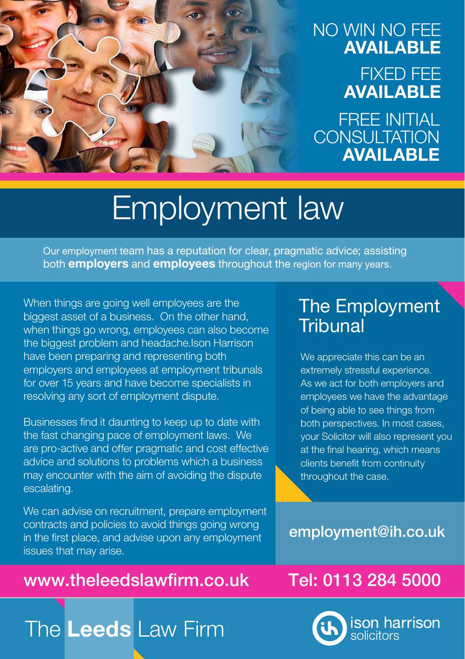## NO WIN NO FEE AVAILABLE FIXED FEE AVAILABLE

FREE INITIAL **CONSULTATION** AVAILABLE

# Employment law

Our employment team has a reputation for clear, pragmatic advice; assisting both **employers** and **employees** throughout the region for many years.

When things are going well employees are the biggest asset of a business. On the other hand, when things go wrong, employees can also become the biggest problem and headache.Ison Harrison have been preparing and representing both employers and employees at employment tribunals for over 15 years and have become specialists in resolving any sort of employment dispute.

Businesses find it daunting to keep up to date with the fast changing pace of employment laws. We are pro-active and offer pragmatic and cost effective advice and solutions to problems which a business may encounter with the aim of avoiding the dispute escalating.

We can advise on recruitment, prepare employment contracts and policies to avoid things going wrong in the first place, and advise upon any employment issues that may arise.

## www.theleedslawfirm.co.uk Tel: 0113 284 5000

## The Employment **Tribunal**

We appreciate this can be an extremely stressful experience. As we act for both employers and employees we have the advantage of being able to see things from both perspectives. In most cases, your Solicitor will also represent you at the final hearing, which means clients benefit from continuity throughout the case.

employment@ih.co.uk



# The Leeds Law Firm